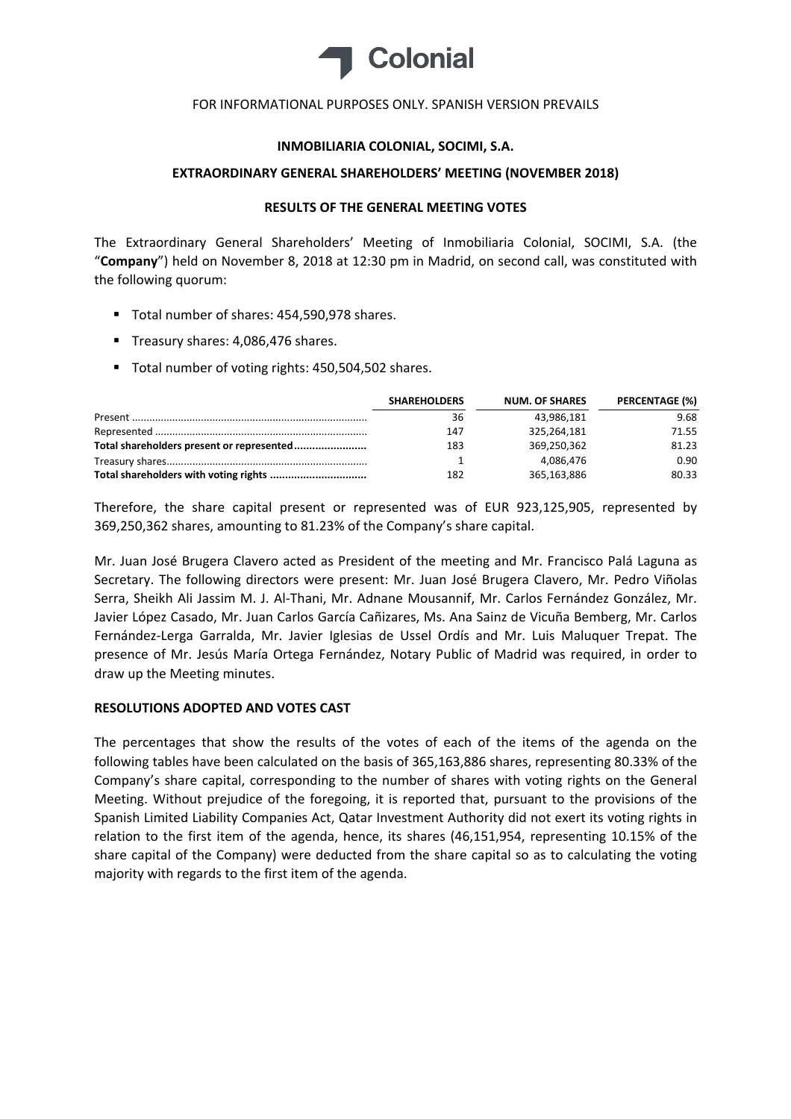

#### FOR INFORMATIONAL PURPOSES ONLY. SPANISH VERSION PREVAILS

## **INMOBILIARIA COLONIAL, SOCIMI, S.A.**

### **EXTRAORDINARY GENERAL SHAREHOLDERS' MEETING (NOVEMBER 2018)**

# **RESULTS OF THE GENERAL MEETING VOTES**

The Extraordinary General Shareholders' Meeting of Inmobiliaria Colonial, SOCIMI, S.A. (the "**Company**") held on November 8, 2018 at 12:30 pm in Madrid, on second call, was constituted with the following quorum:

- Total number of shares: 454,590,978 shares.
- Treasury shares: 4,086,476 shares.
- Total number of voting rights: 450,504,502 shares.

| <b>SHAREHOLDERS</b> | <b>NUM. OF SHARES</b> | PERCENTAGE (%) |
|---------------------|-----------------------|----------------|
| 36                  | 43,986,181            | 9.68           |
| 147                 | 325,264,181           | 71.55          |
| 183                 | 369,250,362           | 81.23          |
|                     | 4,086,476             | 0.90           |
| 182                 | 365,163,886           | 80.33          |

Therefore, the share capital present or represented was of EUR 923,125,905, represented by 369,250,362 shares, amounting to 81.23% of the Company's share capital.

Mr. Juan José Brugera Clavero acted as President of the meeting and Mr. Francisco Palá Laguna as Secretary. The following directors were present: Mr. Juan José Brugera Clavero, Mr. Pedro Viñolas Serra, Sheikh Ali Jassim M. J. Al‐Thani, Mr. Adnane Mousannif, Mr. Carlos Fernández González, Mr. Javier López Casado, Mr. Juan Carlos García Cañizares, Ms. Ana Sainz de Vicuña Bemberg, Mr. Carlos Fernández‐Lerga Garralda, Mr. Javier Iglesias de Ussel Ordís and Mr. Luis Maluquer Trepat. The presence of Mr. Jesús María Ortega Fernández, Notary Public of Madrid was required, in order to draw up the Meeting minutes.

# **RESOLUTIONS ADOPTED AND VOTES CAST**

The percentages that show the results of the votes of each of the items of the agenda on the following tables have been calculated on the basis of 365,163,886 shares, representing 80.33% of the Company's share capital, corresponding to the number of shares with voting rights on the General Meeting. Without prejudice of the foregoing, it is reported that, pursuant to the provisions of the Spanish Limited Liability Companies Act, Qatar Investment Authority did not exert its voting rights in relation to the first item of the agenda, hence, its shares (46,151,954, representing 10.15% of the share capital of the Company) were deducted from the share capital so as to calculating the voting majority with regards to the first item of the agenda.